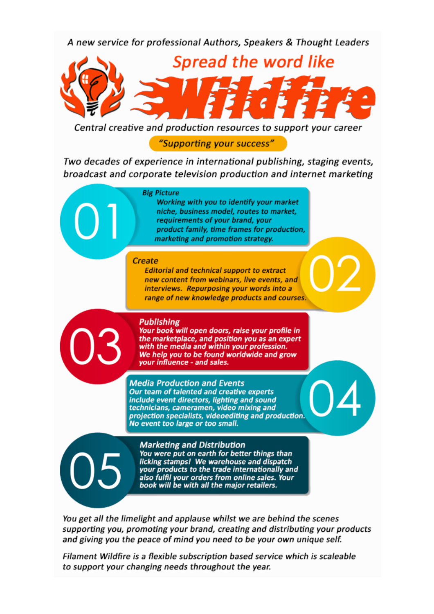A new service for professional Authors, Speakers & Thought Leaders



Central creative and production resources to support your career

"Supporting your success"

Two decades of experience in international publishing, staging events, broadcast and corporate television production and internet marketing

#### **Big Picture**

Working with you to identify your market niche, business model, routes to market, requirements of your brand, your product family, time frames for production, marketing and promotion strategy.

#### **Create**

**Editorial and technical support to extract** new content from webinars, live events, and interviews. Repurposing your words into a range of new knowledge products and courses.

### **Publishing**

Your book will open doors, raise your profile in the marketplace, and position you as an expert with the media and within your profession. We help you to be found worldwide and grow your influence - and sales.

**Media Production and Events** Our team of talented and creative experts include event directors, lighting and sound technicians, cameramen, video mixing and projection specialists, videoediting and production. No event too large or too small.

**Marketing and Distribution** You were put on earth for better things than licking stamps! We warehouse and dispatch your products to the trade internationally and also fulfil your orders from online sales. Your<br>book will be with all the major retailers.

You get all the limelight and applause whilst we are behind the scenes supporting you, promoting your brand, creating and distributing your products and giving you the peace of mind you need to be your own unique self.

Filament Wildfire is a flexible subscription based service which is scaleable to support your changing needs throughout the year.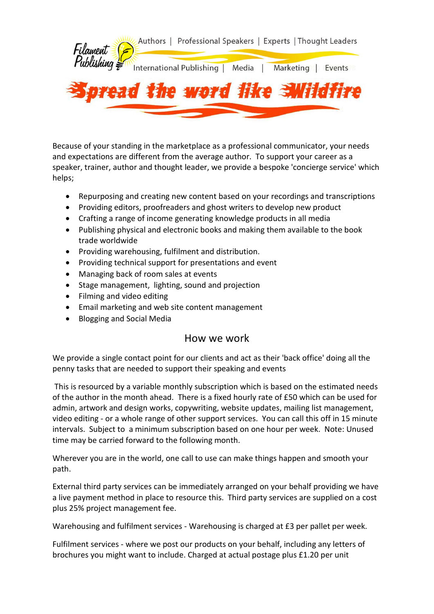

Because of your standing in the marketplace as a professional communicator, your needs and expectations are different from the average author. To support your career as a speaker, trainer, author and thought leader, we provide a bespoke 'concierge service' which helps;

- Repurposing and creating new content based on your recordings and transcriptions
- Providing editors, proofreaders and ghost writers to develop new product
- Crafting a range of income generating knowledge products in all media
- Publishing physical and electronic books and making them available to the book trade worldwide
- Providing warehousing, fulfilment and distribution.
- Providing technical support for presentations and event
- Managing back of room sales at events
- Stage management, lighting, sound and projection
- Filming and video editing
- Email marketing and web site content management
- Blogging and Social Media

# How we work

We provide a single contact point for our clients and act as their 'back office' doing all the penny tasks that are needed to support their speaking and events

This is resourced by a variable monthly subscription which is based on the estimated needs of the author in the month ahead. There is a fixed hourly rate of £50 which can be used for admin, artwork and design works, copywriting, website updates, mailing list management, video editing - or a whole range of other support services. You can call this off in 15 minute intervals. Subject to a minimum subscription based on one hour per week. Note: Unused time may be carried forward to the following month.

Wherever you are in the world, one call to use can make things happen and smooth your path.

External third party services can be immediately arranged on your behalf providing we have a live payment method in place to resource this. Third party services are supplied on a cost plus 25% project management fee.

Warehousing and fulfilment services - Warehousing is charged at £3 per pallet per week.

Fulfilment services - where we post our products on your behalf, including any letters of brochures you might want to include. Charged at actual postage plus £1.20 per unit